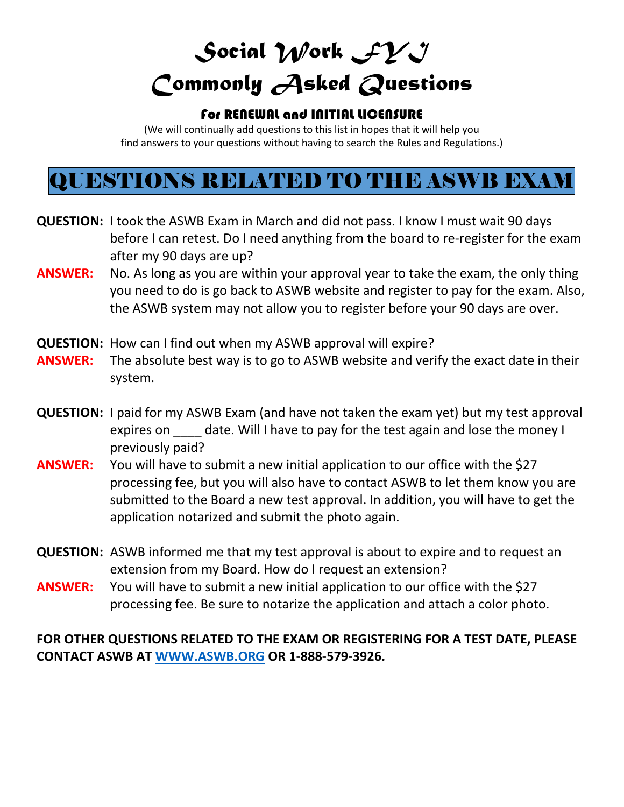# *Social Work FYI Commonly Asked Questions*

### For RENEWAL and INITIAL LICENSURE

(We will continually add questions to this list in hopes that it will help you find answers to your questions without having to search the Rules and Regulations.)

## QUESTIONS RELATED TO THE ASWB EXAM

- **QUESTION:** I took the ASWB Exam in March and did not pass. I know I must wait 90 days before I can retest. Do I need anything from the board to re-register for the exam after my 90 days are up?
- **ANSWER:** No. As long as you are within your approval year to take the exam, the only thing you need to do is go back to ASWB website and register to pay for the exam. Also, the ASWB system may not allow you to register before your 90 days are over.
- **QUESTION:** How can I find out when my ASWB approval will expire?
- **ANSWER:** The absolute best way is to go to ASWB website and verify the exact date in their system.
- **QUESTION:** I paid for my ASWB Exam (and have not taken the exam yet) but my test approval expires on \_\_\_\_ date. Will I have to pay for the test again and lose the money I previously paid?
- **ANSWER:** You will have to submit a new initial application to our office with the \$27 processing fee, but you will also have to contact ASWB to let them know you are submitted to the Board a new test approval. In addition, you will have to get the application notarized and submit the photo again.
- **QUESTION:** ASWB informed me that my test approval is about to expire and to request an extension from my Board. How do I request an extension?
- **ANSWER:** You will have to submit a new initial application to our office with the \$27 processing fee. Be sure to notarize the application and attach a color photo.

#### **FOR OTHER QUESTIONS RELATED TO THE EXAM OR REGISTERING FOR A TEST DATE, PLEASE CONTACT ASWB AT [WWW.ASWB.ORG](http://www.aswb.org/) OR 1-888-579-3926.**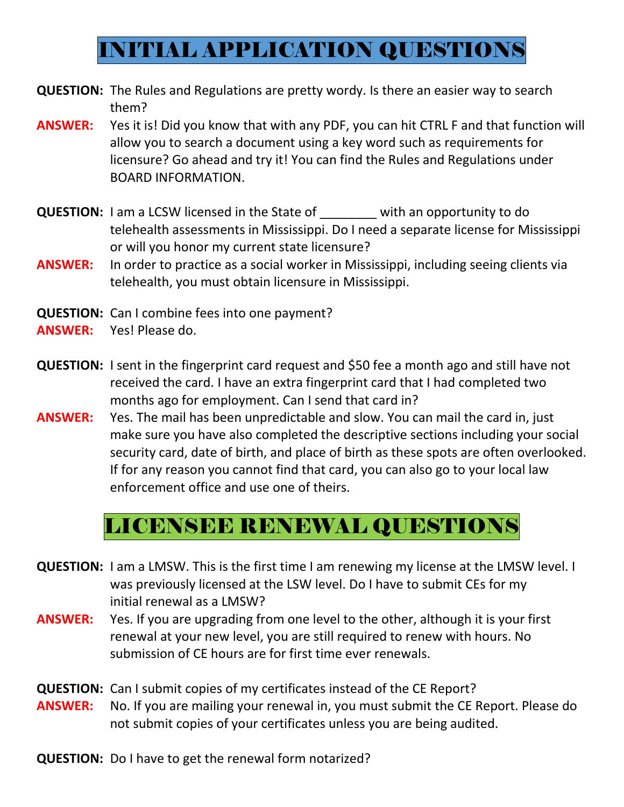# INITIAL APPLICATION QUESTIONS

- **QUESTION:** The Rules and Regulations are pretty wordy. Is there an easier way to search them?
- **ANSWER:** Yes it is! Did you know that with any PDF, you can hit CTRL F and that function will allow you to search a document using a key word such as requirements for licensure? Go ahead and try it! You can find the Rules and Regulations under BOARD INFORMATION.
- **QUESTION:** I am a LCSW licensed in the State of with an opportunity to do telehealth assessments in Mississippi. Do I need a separate license for Mississippi or will you honor my current state licensure?
- **ANSWER:** In order to practice as a social worker in Mississippi, including seeing clients via telehealth, you must obtain licensure in Mississippi.
- **QUESTION:** Can I combine fees into one payment?
- **ANSWER:** Yes! Please do.
- **QUESTION:** I sent in the fingerprint card request and \$50 fee a month ago and still have not received the card. I have an extra fingerprint card that I had completed two months ago for employment. Can I send that card in?
- **ANSWER:** Yes. The mail has been unpredictable and slow. You can mail the card in, just make sure you have also completed the descriptive sections including your social security card, date of birth, and place of birth as these spots are often overlooked. If for any reason you cannot find that card, you can also go to your local law enforcement office and use one of theirs.

### LICENSEE RENEWAL QUESTIONS

- **QUESTION:** I am a LMSW. This is the first time I am renewing my license at the LMSW level. I was previously licensed at the LSW level. Do I have to submit CEs for my initial renewal as a LMSW?
- **ANSWER:** Yes. If you are upgrading from one level to the other, although it is your first renewal at your new level, you are still required to renew with hours. No submission of CE hours are for first time ever renewals.
- **QUESTION:** Can I submit copies of my certificates instead of the CE Report?
- **ANSWER:** No. If you are mailing your renewal in, you must submit the CE Report. Please do not submit copies of your certificates unless you are being audited.

**QUESTION:** Do I have to get the renewal form notarized?